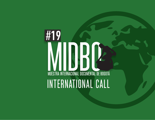# #19 INTERNATIONAL CALL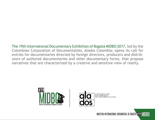The 19th International Documentary Exhibition of Bogotá MIDBO 2017, led by the Colombian Corporation of Documentalists, Alados Colombia; opens its call for entries for documentaries directed by foreign directors, producers and distributors of authored documentaries and other documentary forms, that propose narratives that are characterized by a creative and sensitive view of reality.



COLOMBIANA<br>DE DOCUMENTALISTAS

MUESTRA INTERNACIONAL DOCUMENTAL DE BOGOTÁ #19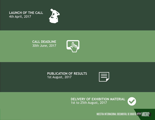**LAUNCH OF THE CALL** 4th April, 2017



**CALL DEADLINE** 30th June, 2017



**PUBLICATION OF RESULTS**  1st August, 2017



**DELIVERY OF EXHIBITION MATERIAL** 1st to 25th August, 2017



MUESTRA INTERNACIONAL DOCUMENTAL DE BOGOTÁ #19 MIDBO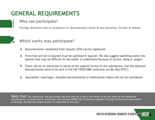# **GENERAL REQUIREMENTS**

**Who can participate?**

Foreign directors and/or producers of documentary works of any duration, format or theme.



### **Which works may participate?**

- Documentaries completed from January 2016 can be registered.
- Films that are not in Spanish must be subtitled in Spanish. We also suggest subtitling works into Spanish that may be difficult for the public to understand because of accent, slang or jargon.
- There will be no restriction in terms of the capture format of the submissions, but the selected documentaries need to be sent in Full HD 1920X1080 resolution (on Blu Ray NTSC).
- Journalistic reportages, branded documentaries or institutional videos will not be considered.

*Note that: By registering, the participant declares that he or she is the owner of all the rights of the registered documentary, its sound and/or visual files, and releases MIDBO 2017 from any complaint filed by third parties about public screenings, intellectual property and/ or ownership of the work* 

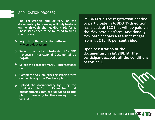

#### **APPLICATION PROCESS**

**The registration and delivery of the documentary for viewing will only be done online through the Movibeta platform. These steps need to be followed to fulfill the process:**

- **Register in the Movibeta platform: www.movibeta.com**
- **Select from the list of festivals: 19º MIDBO - Muestra Internacional Documental de Bogotá.**
- **Select the category MIDBO International Call.**
- **Complete and submit the registration form online through the Movibeta platform.**
- **Upload the documentary by using the Movibeta platform. Remember that documentaries that are uploaded to this platform are only for the viewing of the curators.**

**IMPORTANT: The registration needed to participate in MIDBO 19th edition has a cost of 12€ that will be paid via the Movibeta platform. Additionally Movibeta charges a fee that ranges from 1,5€ to 4€ per sent video.**

**Upon registration of the documentary in MOVIBETA, the participant accepts all the conditions of this call.**

MUESTRA INTERNACIONAL DOCUMENTAL DE BOGOTÁ #19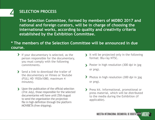## **SELECTION PROCESS**

**The Selection Committee, formed by members of MIDBO 2017 and national and foreign curators, will be in charge of choosing the international works, according to quality and creativity criteria established by the Exhibition Committee.**

#### **\* The members of the Selection Committee will be announced in due course.**

- If your documentary is selected, as the person responsible for the documentary, you must comply with the following commitments.
- Send a link to download the trailer of the documentary on Vimeo or Youtube (FULL HD 1920x1080, maximum 4 minutes).
- > Upon the publication of the official selection (31st July), those responsible for the selected documentaries will have until 25th August to send the organization the projection file in high definition through the platform MOVIBETA (free shipping).
- It will be projected only in the following format: Blu-ray NTSC.
- Poster in high resolution (300 dpi in jpg  $\blacktriangleright$ or png).
- > Photos in high resolution (300 dpi in jpg or png).
- Press kit. Informational, promotional or press material, which will be distributed to the media during the Exhibition (if applicable).

MUESTRA INTERNACIONAL DOCUMENTAL DE BOGOTÁ #19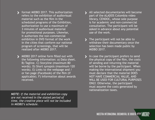format MIDBO 2017. This authorization refers to the exhibition of audiovisual material such as the film in the scheduled programs of the Exhibition, authorization to use a maximum of 3 minutes of audiovisual material for promotional purposes. Likewise, it authorizes the non-commercial exhibition in DVD format of the work in the cities that conform our national program of screenings, that will be realized after MIDBO 2017.

MIDBO 2017 online form filled out with the following information: a) Data sheet. B) Tagline. C) Storyline (maximum 80 words). D) Short synopsis (maximum 120 words). E) Links to the webpage and / or fan page (Facebook) of the film (if applicable). F) Information about awards received.

*NOTE: If the material and exhibition copy are not received in the stated period of time, the creative piece will not be included in MIDBO's schedule.*

- All selected documentaries will become part of the ALADOS Colombia video library, CENDOC, whose sole purpose is for academic and non-commercial consultation. The participant will be asked in advance about any potential use of the work.
- The participant will not be able to withdraw their documentary once the selection has been made public by MIDBO 2017.
- In case the participant prefers to send the physical copy of the film, the costs of sending and returning the material will be borne by the participant. When making the international shipment you must declare that the material DOES NOT HAVE COMMERCIAL VALUE, AND WILL BE USED FOR CULTURAL PURPOSES ONLY. Otherwise, the participant must assume the costs generated by nationalization taxes.